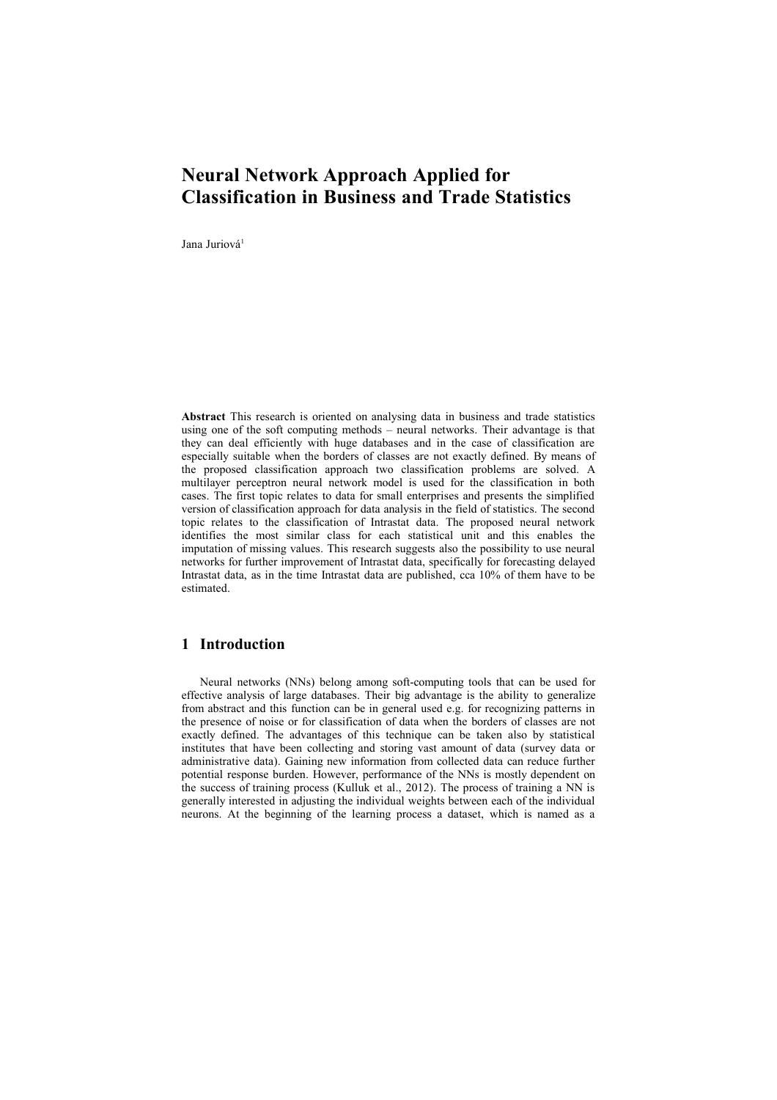# **Neural Network Approach Applied for Classification in Business and Trade Statistics**

Jana Juriová<sup>1</sup>

**Abstract** This research is oriented on analysing data in business and trade statistics using one of the soft computing methods – neural networks. Their advantage is that they can deal efficiently with huge databases and in the case of classification are especially suitable when the borders of classes are not exactly defined. By means of the proposed classification approach two classification problems are solved. A multilayer perceptron neural network model is used for the classification in both cases. The first topic relates to data for small enterprises and presents the simplified version of classification approach for data analysis in the field of statistics. The second topic relates to the classification of Intrastat data. The proposed neural network identifies the most similar class for each statistical unit and this enables the imputation of missing values. This research suggests also the possibility to use neural networks for further improvement of Intrastat data, specifically for forecasting delayed Intrastat data, as in the time Intrastat data are published, cca 10% of them have to be estimated.

### **1 Introduction**

Neural networks (NNs) belong among soft-computing tools that can be used for effective analysis of large databases. Their big advantage is the ability to generalize from abstract and this function can be in general used e.g. for recognizing patterns in the presence of noise or for classification of data when the borders of classes are not exactly defined. The advantages of this technique can be taken also by statistical institutes that have been collecting and storing vast amount of data (survey data or administrative data). Gaining new information from collected data can reduce further potential response burden. However, performance of the NNs is mostly dependent on the success of training process (Kulluk et al., 2012). The process of training a NN is generally interested in adjusting the individual weights between each of the individual neurons. At the beginning of the learning process a dataset, which is named as a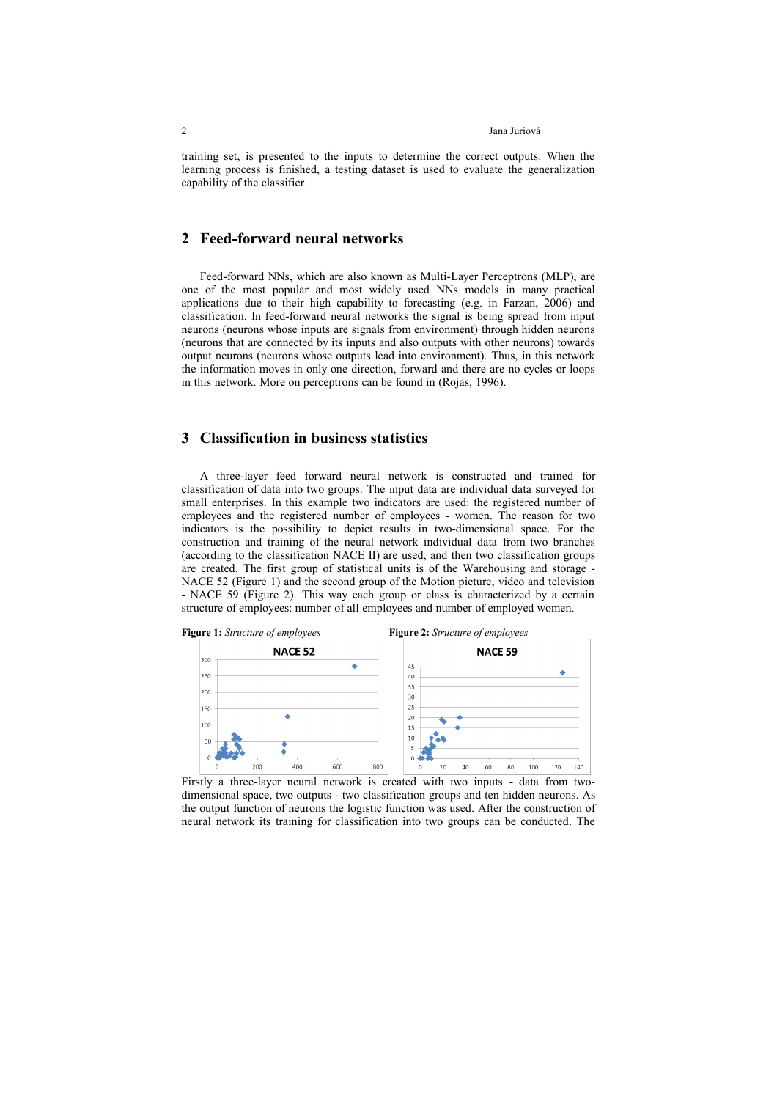#### 2 Jana Juriová

training set, is presented to the inputs to determine the correct outputs. When the learning process is finished, a testing dataset is used to evaluate the generalization capability of the classifier.

#### **2 Feed-forward neural networks**

Feed-forward NNs, which are also known as Multi-Layer Perceptrons (MLP), are one of the most popular and most widely used NNs models in many practical applications due to their high capability to forecasting (e.g. in Farzan, 2006) and classification. In feed-forward neural networks the signal is being spread from input neurons (neurons whose inputs are signals from environment) through hidden neurons (neurons that are connected by its inputs and also outputs with other neurons) towards output neurons (neurons whose outputs lead into environment). Thus, in this network the information moves in only one direction, forward and there are no cycles or loops in this network. More on perceptrons can be found in (Rojas, 1996).

### **3 Classification in business statistics**

A three-layer feed forward neural network is constructed and trained for classification of data into two groups. The input data are individual data surveyed for small enterprises. In this example two indicators are used: the registered number of employees and the registered number of employees - women. The reason for two indicators is the possibility to depict results in two-dimensional space. For the construction and training of the neural network individual data from two branches (according to the classification NACE II) are used, and then two classification groups are created. The first group of statistical units is of the Warehousing and storage - NACE 52 (Figure 1) and the second group of the Motion picture, video and television - NACE 59 (Figure 2). This way each group or class is characterized by a certain structure of employees: number of all employees and number of employed women.



Firstly a three-layer neural network is created with two inputs - data from twodimensional space, two outputs - two classification groups and ten hidden neurons. As the output function of neurons the logistic function was used. After the construction of neural network its training for classification into two groups can be conducted. The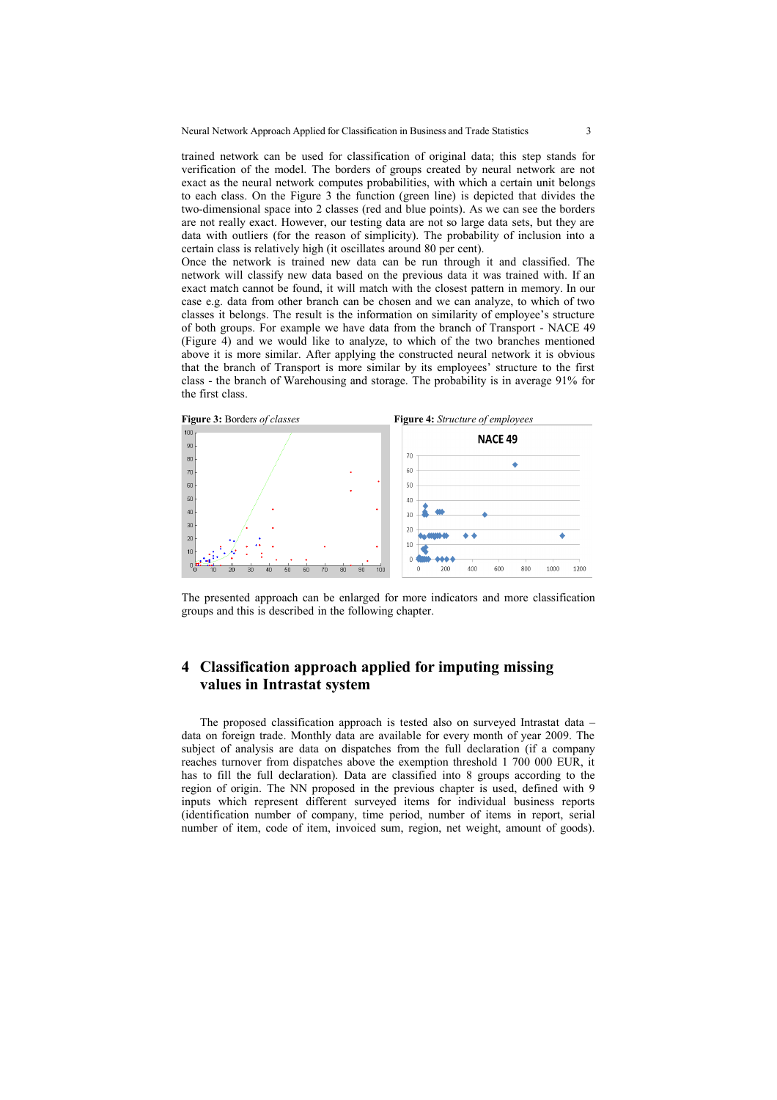trained network can be used for classification of original data; this step stands for verification of the model. The borders of groups created by neural network are not exact as the neural network computes probabilities, with which a certain unit belongs to each class. On the Figure 3 the function (green line) is depicted that divides the two-dimensional space into 2 classes (red and blue points). As we can see the borders are not really exact. However, our testing data are not so large data sets, but they are data with outliers (for the reason of simplicity). The probability of inclusion into a certain class is relatively high (it oscillates around 80 per cent).

Once the network is trained new data can be run through it and classified. The network will classify new data based on the previous data it was trained with. If an exact match cannot be found, it will match with the closest pattern in memory. In our case e.g. data from other branch can be chosen and we can analyze, to which of two classes it belongs. The result is the information on similarity of employee's structure of both groups. For example we have data from the branch of Transport - NACE 49 (Figure 4) and we would like to analyze, to which of the two branches mentioned above it is more similar. After applying the constructed neural network it is obvious that the branch of Transport is more similar by its employees' structure to the first class - the branch of Warehousing and storage. The probability is in average 91% for the first class.



The presented approach can be enlarged for more indicators and more classification groups and this is described in the following chapter.

## **4 Classification approach applied for imputing missing values in Intrastat system**

The proposed classification approach is tested also on surveyed Intrastat data – data on foreign trade. Monthly data are available for every month of year 2009. The subject of analysis are data on dispatches from the full declaration (if a company reaches turnover from dispatches above the exemption threshold 1 700 000 EUR, it has to fill the full declaration). Data are classified into 8 groups according to the region of origin. The NN proposed in the previous chapter is used, defined with 9 inputs which represent different surveyed items for individual business reports (identification number of company, time period, number of items in report, serial number of item, code of item, invoiced sum, region, net weight, amount of goods).